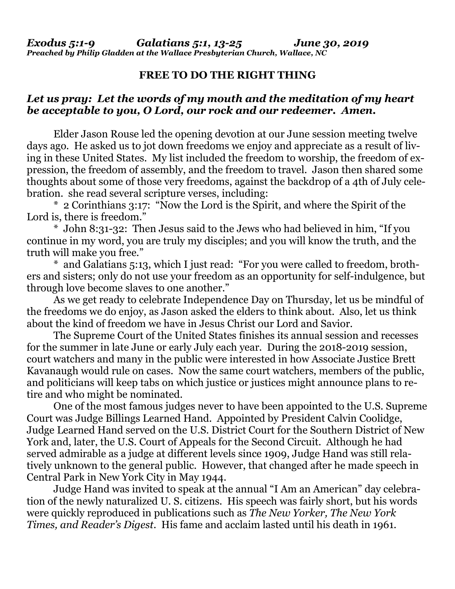## **FREE TO DO THE RIGHT THING**

## *Let us pray: Let the words of my mouth and the meditation of my heart be acceptable to you, O Lord, our rock and our redeemer. Amen.*

Elder Jason Rouse led the opening devotion at our June session meeting twelve days ago. He asked us to jot down freedoms we enjoy and appreciate as a result of living in these United States. My list included the freedom to worship, the freedom of expression, the freedom of assembly, and the freedom to travel. Jason then shared some thoughts about some of those very freedoms, against the backdrop of a 4th of July celebration. she read several scripture verses, including:

\* 2 Corinthians 3:17: "Now the Lord is the Spirit, and where the Spirit of the Lord is, there is freedom."

\* John 8:31-32: Then Jesus said to the Jews who had believed in him, "If you continue in my word, you are truly my disciples; and you will know the truth, and the truth will make you free."

\* and Galatians 5:13, which I just read: "For you were called to freedom, brothers and sisters; only do not use your freedom as an opportunity for self-indulgence, but through love become slaves to one another."

As we get ready to celebrate Independence Day on Thursday, let us be mindful of the freedoms we do enjoy, as Jason asked the elders to think about. Also, let us think about the kind of freedom we have in Jesus Christ our Lord and Savior.

The Supreme Court of the United States finishes its annual session and recesses for the summer in late June or early July each year. During the 2018-2019 session, court watchers and many in the public were interested in how Associate Justice Brett Kavanaugh would rule on cases. Now the same court watchers, members of the public, and politicians will keep tabs on which justice or justices might announce plans to retire and who might be nominated.

One of the most famous judges never to have been appointed to the U.S. Supreme Court was Judge Billings Learned Hand. Appointed by President Calvin Coolidge, Judge Learned Hand served on the U.S. District Court for the Southern District of New York and, later, the U.S. Court of Appeals for the Second Circuit. Although he had served admirable as a judge at different levels since 1909, Judge Hand was still relatively unknown to the general public. However, that changed after he made speech in Central Park in New York City in May 1944.

Judge Hand was invited to speak at the annual "I Am an American" day celebration of the newly naturalized U. S. citizens. His speech was fairly short, but his words were quickly reproduced in publications such as *The New Yorker, The New York Times, and Reader's Digest*. His fame and acclaim lasted until his death in 1961.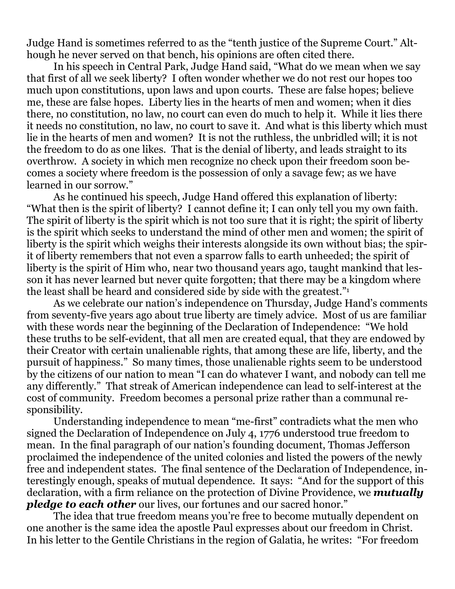Judge Hand is sometimes referred to as the "tenth justice of the Supreme Court." Although he never served on that bench, his opinions are often cited there.

In his speech in Central Park, Judge Hand said, "What do we mean when we say that first of all we seek liberty? I often wonder whether we do not rest our hopes too much upon constitutions, upon laws and upon courts. These are false hopes; believe me, these are false hopes. Liberty lies in the hearts of men and women; when it dies there, no constitution, no law, no court can even do much to help it. While it lies there it needs no constitution, no law, no court to save it. And what is this liberty which must lie in the hearts of men and women? It is not the ruthless, the unbridled will; it is not the freedom to do as one likes. That is the denial of liberty, and leads straight to its overthrow. A society in which men recognize no check upon their freedom soon becomes a society where freedom is the possession of only a savage few; as we have learned in our sorrow."

As he continued his speech, Judge Hand offered this explanation of liberty: "What then is the spirit of liberty? I cannot define it; I can only tell you my own faith. The spirit of liberty is the spirit which is not too sure that it is right; the spirit of liberty is the spirit which seeks to understand the mind of other men and women; the spirit of liberty is the spirit which weighs their interests alongside its own without bias; the spirit of liberty remembers that not even a sparrow falls to earth unheeded; the spirit of liberty is the spirit of Him who, near two thousand years ago, taught mankind that lesson it has never learned but never quite forgotten; that there may be a kingdom where the least shall be heard and considered side by side with the greatest."<sup>1</sup>

As we celebrate our nation's independence on Thursday, Judge Hand's comments from seventy-five years ago about true liberty are timely advice. Most of us are familiar with these words near the beginning of the Declaration of Independence: "We hold these truths to be self-evident, that all men are created equal, that they are endowed by their Creator with certain unalienable rights, that among these are life, liberty, and the pursuit of happiness." So many times, those unalienable rights seem to be understood by the citizens of our nation to mean "I can do whatever I want, and nobody can tell me any differently." That streak of American independence can lead to self-interest at the cost of community. Freedom becomes a personal prize rather than a communal responsibility.

Understanding independence to mean "me-first" contradicts what the men who signed the Declaration of Independence on July 4, 1776 understood true freedom to mean. In the final paragraph of our nation's founding document, Thomas Jefferson proclaimed the independence of the united colonies and listed the powers of the newly free and independent states. The final sentence of the Declaration of Independence, interestingly enough, speaks of mutual dependence. It says: "And for the support of this declaration, with a firm reliance on the protection of Divine Providence, we *mutually pledge to each other* our lives, our fortunes and our sacred honor."

The idea that true freedom means you're free to become mutually dependent on one another is the same idea the apostle Paul expresses about our freedom in Christ. In his letter to the Gentile Christians in the region of Galatia, he writes: "For freedom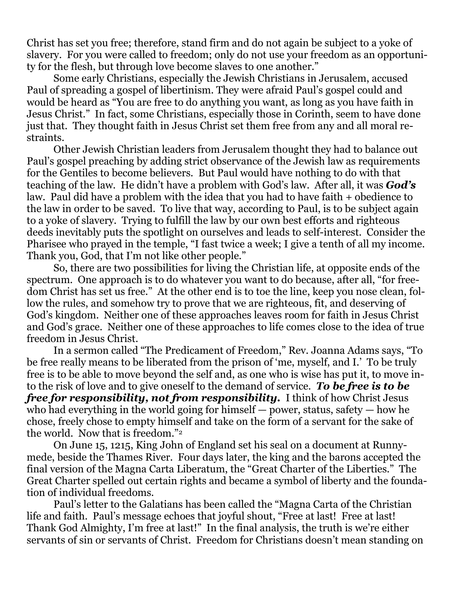Christ has set you free; therefore, stand firm and do not again be subject to a yoke of slavery. For you were called to freedom; only do not use your freedom as an opportunity for the flesh, but through love become slaves to one another."

Some early Christians, especially the Jewish Christians in Jerusalem, accused Paul of spreading a gospel of libertinism. They were afraid Paul's gospel could and would be heard as "You are free to do anything you want, as long as you have faith in Jesus Christ." In fact, some Christians, especially those in Corinth, seem to have done just that. They thought faith in Jesus Christ set them free from any and all moral restraints.

Other Jewish Christian leaders from Jerusalem thought they had to balance out Paul's gospel preaching by adding strict observance of the Jewish law as requirements for the Gentiles to become believers. But Paul would have nothing to do with that teaching of the law. He didn't have a problem with God's law. After all, it was *God's* law. Paul did have a problem with the idea that you had to have faith + obedience to the law in order to be saved. To live that way, according to Paul, is to be subject again to a yoke of slavery. Trying to fulfill the law by our own best efforts and righteous deeds inevitably puts the spotlight on ourselves and leads to self-interest. Consider the Pharisee who prayed in the temple, "I fast twice a week; I give a tenth of all my income. Thank you, God, that I'm not like other people."

So, there are two possibilities for living the Christian life, at opposite ends of the spectrum. One approach is to do whatever you want to do because, after all, "for freedom Christ has set us free." At the other end is to toe the line, keep you nose clean, follow the rules, and somehow try to prove that we are righteous, fit, and deserving of God's kingdom. Neither one of these approaches leaves room for faith in Jesus Christ and God's grace. Neither one of these approaches to life comes close to the idea of true freedom in Jesus Christ.

In a sermon called "The Predicament of Freedom," Rev. Joanna Adams says, "To be free really means to be liberated from the prison of 'me, myself, and I.' To be truly free is to be able to move beyond the self and, as one who is wise has put it, to move into the risk of love and to give oneself to the demand of service. *To be free is to be free for responsibility, not from responsibility.* I think of how Christ Jesus who had everything in the world going for himself — power, status, safety — how he chose, freely chose to empty himself and take on the form of a servant for the sake of the world. Now that is freedom."<sup>2</sup>

On June 15, 1215, King John of England set his seal on a document at Runnymede, beside the Thames River. Four days later, the king and the barons accepted the final version of the Magna Carta Liberatum, the "Great Charter of the Liberties." The Great Charter spelled out certain rights and became a symbol of liberty and the foundation of individual freedoms.

Paul's letter to the Galatians has been called the "Magna Carta of the Christian life and faith. Paul's message echoes that joyful shout, "Free at last! Free at last! Thank God Almighty, I'm free at last!" In the final analysis, the truth is we're either servants of sin or servants of Christ. Freedom for Christians doesn't mean standing on